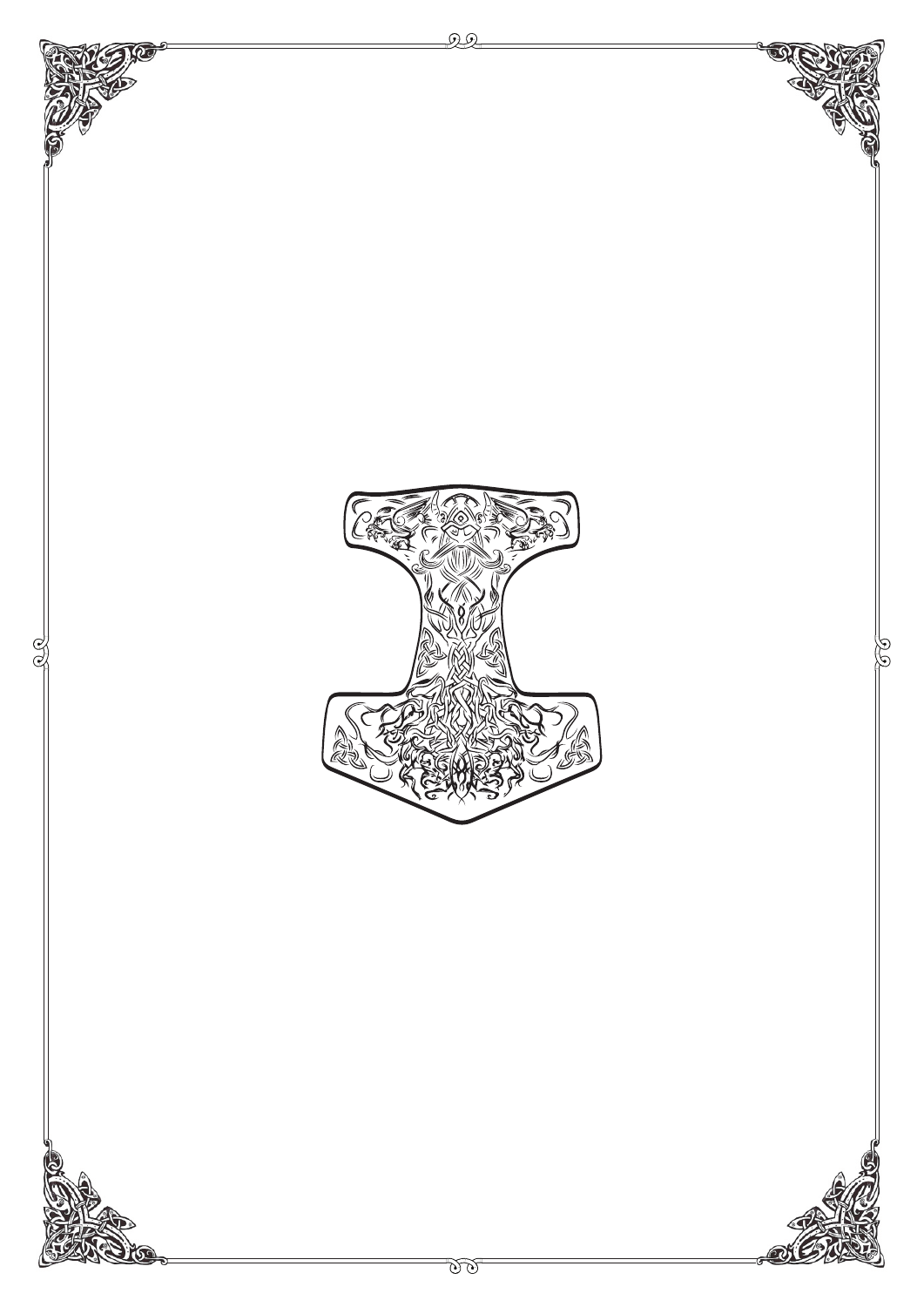